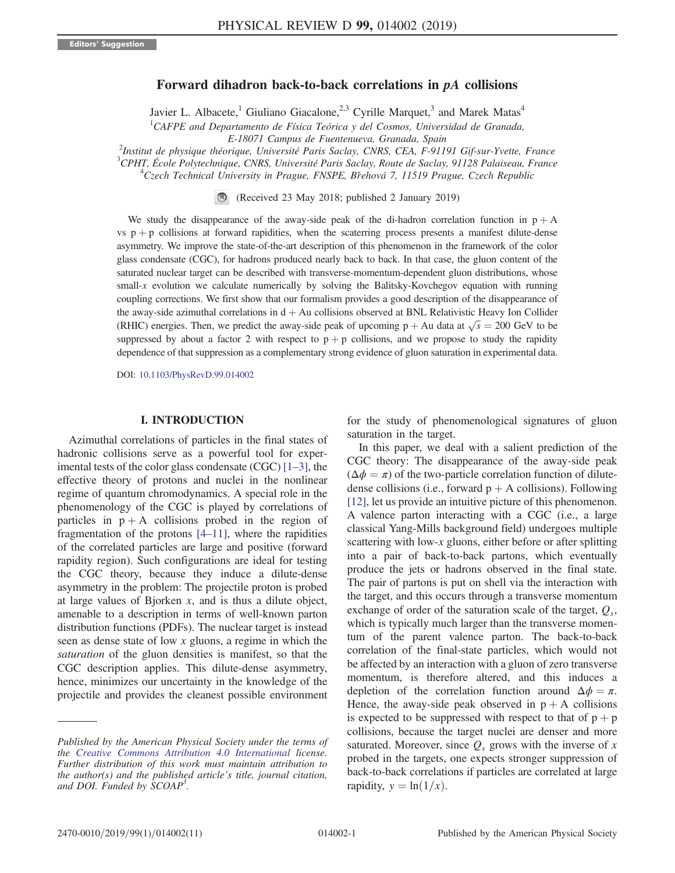# Forward dihadron back-to-back correlations in pA collisions

Javier L. Albacete,<sup>1</sup> Giuliano Giacalone,<sup>2,3</sup> Cyrille Marquet,<sup>3</sup> and Marek Matas<sup>4</sup>

 ${}^{1}$ CAFPE and Departamento de Física Teórica y del Cosmos, Universidad de Granada,

E-18071 Campus de Fuentenueva, Granada, Spain<br><sup>2</sup>Institut de physique théorique, Université Paris Saelay, CNPS, CEA, E 011

<sup>2</sup>Institut de physique théorique, Université Paris Saclay, CNRS, CEA, F-91191 Gif-sur-Yvette, France  $\frac{3}{2}$ CDHT, Égala Polytechnique, CNBS, Université Paris Saclay, Poute de Saclay, 01128 Polyteceu, France  ${}^{3}$ CPHT, École Polytechnique, CNRS, Université Paris Saclay, Route de Saclay, 91128 Palaiseau, France

 ${}^{4}C$ zech Technical University in Prague, FNSPE, Břehová 7, 11519 Prague, Czech Republic

(Received 23 May 2018; published 2 January 2019)

We study the disappearance of the away-side peak of the di-hadron correlation function in  $p + A$ vs  $p + p$  collisions at forward rapidities, when the scaterring process presents a manifest dilute-dense asymmetry. We improve the state-of-the-art description of this phenomenon in the framework of the color glass condensate (CGC), for hadrons produced nearly back to back. In that case, the gluon content of the saturated nuclear target can be described with transverse-momentum-dependent gluon distributions, whose small-x evolution we calculate numerically by solving the Balitsky-Kovchegov equation with running coupling corrections. We first show that our formalism provides a good description of the disappearance of the away-side azimuthal correlations in  $d + Au$  collisions observed at BNL Relativistic Heavy Ion Collider (RHIC) energies. Then, we predict the away-side peak of upcoming  $p + Au$  data at  $\sqrt{s} = 200$  GeV to be suppressed by about a factor 2 with respect to  $p + p$  collisions, and we propose to study the rapidity suppressed by about a factor 2 with respect to  $p + p$  collisions, and we propose to study the rapidity dependence of that suppression as a complementary strong evidence of gluon saturation in experimental data.

DOI: [10.1103/PhysRevD.99.014002](https://doi.org/10.1103/PhysRevD.99.014002)

### I. INTRODUCTION

Azimuthal correlations of particles in the final states of hadronic collisions serve as a powerful tool for experimental tests of the color glass condensate  $(CGC)$  [\[1](#page-9-0)–3], the effective theory of protons and nuclei in the nonlinear regime of quantum chromodynamics. A special role in the phenomenology of the CGC is played by correlations of particles in  $p + A$  collisions probed in the region of fragmentation of the protons [4–[11\]](#page-9-1), where the rapidities of the correlated particles are large and positive (forward rapidity region). Such configurations are ideal for testing the CGC theory, because they induce a dilute-dense asymmetry in the problem: The projectile proton is probed at large values of Bjorken  $x$ , and is thus a dilute object, amenable to a description in terms of well-known parton distribution functions (PDFs). The nuclear target is instead seen as dense state of low  $x$  gluons, a regime in which the saturation of the gluon densities is manifest, so that the CGC description applies. This dilute-dense asymmetry, hence, minimizes our uncertainty in the knowledge of the projectile and provides the cleanest possible environment

for the study of phenomenological signatures of gluon saturation in the target.

In this paper, we deal with a salient prediction of the CGC theory: The disappearance of the away-side peak  $(\Delta \phi = \pi)$  of the two-particle correlation function of dilutedense collisions (i.e., forward  $p + A$  collisions). Following [\[12\]](#page-9-2), let us provide an intuitive picture of this phenomenon. A valence parton interacting with a CGC (i.e., a large classical Yang-Mills background field) undergoes multiple scattering with low-x gluons, either before or after splitting into a pair of back-to-back partons, which eventually produce the jets or hadrons observed in the final state. The pair of partons is put on shell via the interaction with the target, and this occurs through a transverse momentum exchange of order of the saturation scale of the target,  $Q_s$ , which is typically much larger than the transverse momentum of the parent valence parton. The back-to-back correlation of the final-state particles, which would not be affected by an interaction with a gluon of zero transverse momentum, is therefore altered, and this induces a depletion of the correlation function around  $\Delta \phi = \pi$ . Hence, the away-side peak observed in  $p + A$  collisions is expected to be suppressed with respect to that of  $p + p$ collisions, because the target nuclei are denser and more saturated. Moreover, since  $Q_s$  grows with the inverse of x probed in the targets, one expects stronger suppression of back-to-back correlations if particles are correlated at large rapidity,  $y = \ln(1/x)$ .

Published by the American Physical Society under the terms of the [Creative Commons Attribution 4.0 International](https://creativecommons.org/licenses/by/4.0/) license. Further distribution of this work must maintain attribution to the author(s) and the published article's title, journal citation, and DOI. Funded by SCOAP<sup>3</sup>.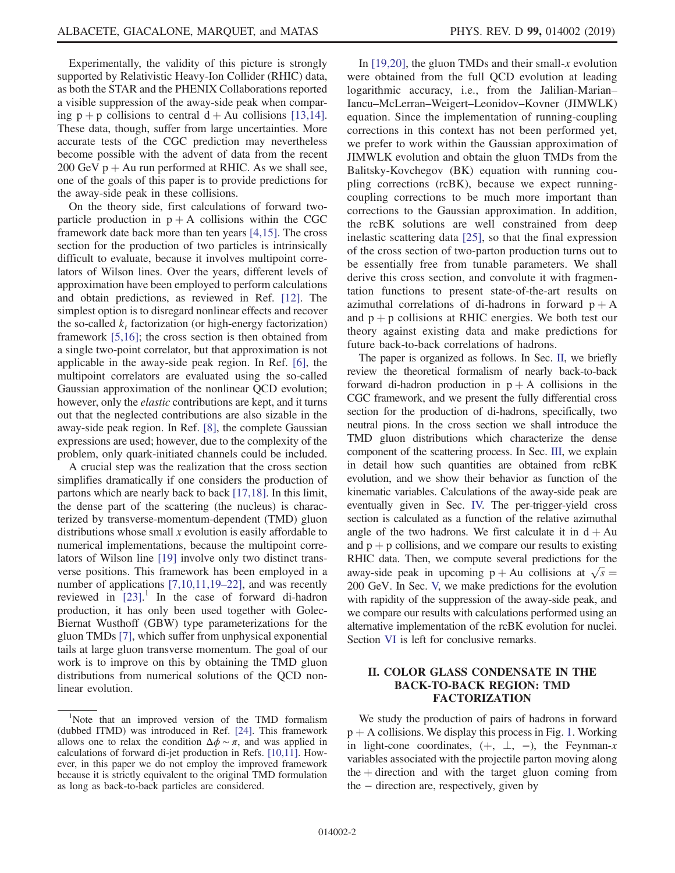Experimentally, the validity of this picture is strongly supported by Relativistic Heavy-Ion Collider (RHIC) data, as both the STAR and the PHENIX Collaborations reported a visible suppression of the away-side peak when comparing  $p + p$  collisions to central  $d + Au$  collisions [\[13,14\]](#page-9-3). These data, though, suffer from large uncertainties. More accurate tests of the CGC prediction may nevertheless become possible with the advent of data from the recent 200 GeV  $p + Au$  run performed at RHIC. As we shall see, one of the goals of this paper is to provide predictions for the away-side peak in these collisions.

On the theory side, first calculations of forward twoparticle production in  $p + A$  collisions within the CGC framework date back more than ten years [\[4,15\].](#page-9-1) The cross section for the production of two particles is intrinsically difficult to evaluate, because it involves multipoint correlators of Wilson lines. Over the years, different levels of approximation have been employed to perform calculations and obtain predictions, as reviewed in Ref. [\[12\]](#page-9-2). The simplest option is to disregard nonlinear effects and recover the so-called  $k_t$  factorization (or high-energy factorization) framework [\[5,16\];](#page-9-4) the cross section is then obtained from a single two-point correlator, but that approximation is not applicable in the away-side peak region. In Ref. [\[6\],](#page-9-5) the multipoint correlators are evaluated using the so-called Gaussian approximation of the nonlinear QCD evolution; however, only the *elastic* contributions are kept, and it turns out that the neglected contributions are also sizable in the away-side peak region. In Ref. [\[8\]](#page-9-6), the complete Gaussian expressions are used; however, due to the complexity of the problem, only quark-initiated channels could be included.

A crucial step was the realization that the cross section simplifies dramatically if one considers the production of partons which are nearly back to back [\[17,18\]](#page-9-7). In this limit, the dense part of the scattering (the nucleus) is characterized by transverse-momentum-dependent (TMD) gluon distributions whose small  $x$  evolution is easily affordable to numerical implementations, because the multipoint correlators of Wilson line [\[19\]](#page-9-8) involve only two distinct transverse positions. This framework has been employed in a number of applications [\[7,10,11,19](#page-9-9)–22], and was recently reviewed in [\[23\].](#page-9-10) <sup>1</sup> In the case of forward di-hadron production, it has only been used together with Golec-Biernat Wusthoff (GBW) type parameterizations for the gluon TMDs [\[7\],](#page-9-9) which suffer from unphysical exponential tails at large gluon transverse momentum. The goal of our work is to improve on this by obtaining the TMD gluon distributions from numerical solutions of the QCD nonlinear evolution.

In  $[19,20]$ , the gluon TMDs and their small-x evolution were obtained from the full QCD evolution at leading logarithmic accuracy, i.e., from the Jalilian-Marian– Iancu–McLerran–Weigert–Leonidov–Kovner (JIMWLK) equation. Since the implementation of running-coupling corrections in this context has not been performed yet, we prefer to work within the Gaussian approximation of JIMWLK evolution and obtain the gluon TMDs from the Balitsky-Kovchegov (BK) equation with running coupling corrections (rcBK), because we expect runningcoupling corrections to be much more important than corrections to the Gaussian approximation. In addition, the rcBK solutions are well constrained from deep inelastic scattering data [\[25\]](#page-9-11), so that the final expression of the cross section of two-parton production turns out to be essentially free from tunable parameters. We shall derive this cross section, and convolute it with fragmentation functions to present state-of-the-art results on azimuthal correlations of di-hadrons in forward  $p + A$ and  $p + p$  collisions at RHIC energies. We both test our theory against existing data and make predictions for future back-to-back correlations of hadrons.

The paper is organized as follows. In Sec. [II,](#page-1-0) we briefly review the theoretical formalism of nearly back-to-back forward di-hadron production in  $p + A$  collisions in the CGC framework, and we present the fully differential cross section for the production of di-hadrons, specifically, two neutral pions. In the cross section we shall introduce the TMD gluon distributions which characterize the dense component of the scattering process. In Sec. [III,](#page-3-0) we explain in detail how such quantities are obtained from rcBK evolution, and we show their behavior as function of the kinematic variables. Calculations of the away-side peak are eventually given in Sec. [IV.](#page-5-0) The per-trigger-yield cross section is calculated as a function of the relative azimuthal angle of the two hadrons. We first calculate it in  $d + Au$ and  $p + p$  collisions, and we compare our results to existing RHIC data. Then, we compute several predictions for the away-side peak in upcoming  $p + Au$  collisions at  $\sqrt{s} = 200$  GeV. In Sec. V, we make predictions for the evolution 200 GeV. In Sec. [V,](#page-6-0) we make predictions for the evolution with rapidity of the suppression of the away-side peak, and we compare our results with calculations performed using an alternative implementation of the rcBK evolution for nuclei. Section [VI](#page-9-12) is left for conclusive remarks.

## <span id="page-1-0"></span>II. COLOR GLASS CONDENSATE IN THE BACK-TO-BACK REGION: TMD FACTORIZATION

<span id="page-1-1"></span>We study the production of pairs of hadrons in forward  $p + A$  collisions. We display this process in Fig. [1](#page-2-0). Working in light-cone coordinates,  $(+, \perp, -)$ , the Feynman-x variables associated with the projectile parton moving along the  $+$  direction and with the target gluon coming from the − direction are, respectively, given by

<sup>&</sup>lt;sup>1</sup>Note that an improved version of the TMD formalism (dubbed ITMD) was introduced in Ref. [\[24\].](#page-9-13) This framework allows one to relax the condition  $\Delta \phi \sim \pi$ , and was applied in calculations of forward di-jet production in Refs. [\[10,11\]](#page-9-14). However, in this paper we do not employ the improved framework because it is strictly equivalent to the original TMD formulation as long as back-to-back particles are considered.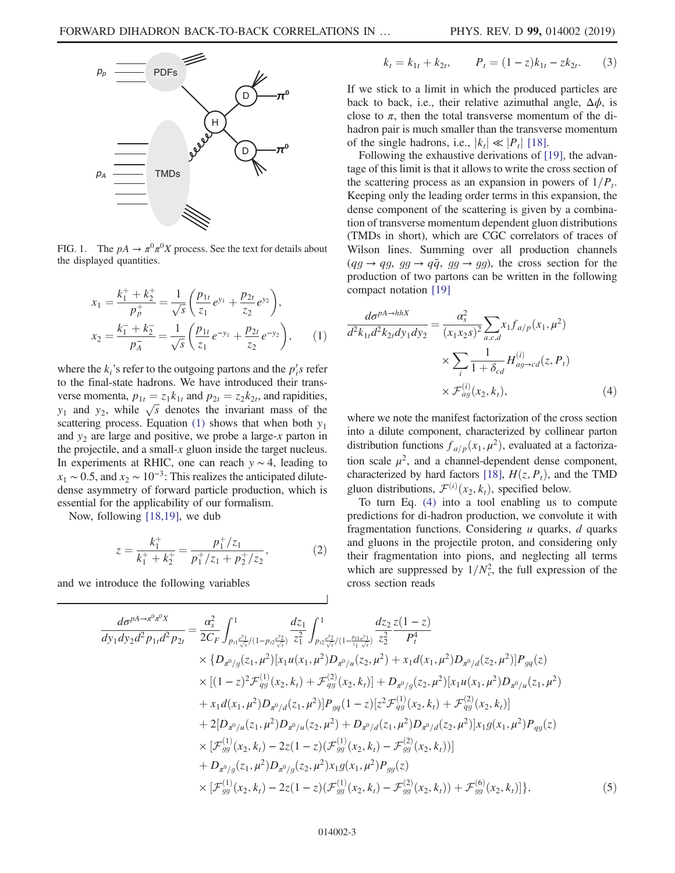<span id="page-2-0"></span>

FIG. 1. The  $pA \to \pi^0 \pi^0 X$  process. See the text for details about the displayed quantities.

$$
x_1 = \frac{k_1^+ + k_2^+}{p_p^+} = \frac{1}{\sqrt{s}} \left( \frac{p_{1t}}{z_1} e^{y_1} + \frac{p_{2t}}{z_2} e^{y_2} \right),
$$
  
\n
$$
x_2 = \frac{k_1^- + k_2^-}{p_A^-} = \frac{1}{\sqrt{s}} \left( \frac{p_{1t}}{z_1} e^{-y_1} + \frac{p_{2t}}{z_2} e^{-y_2} \right),
$$
 (1)

where the  $k_i$ 's refer to the outgoing partons and the  $p_i$ 's refer to the final-state hadrons. We have introduced their transverse momenta,  $p_{1t} = z_1 k_{1t}$  and  $p_{2t} = z_2 k_{2t}$ , and rapidities,  $y_1$  and  $y_2$ , while  $\sqrt{s}$  denotes the invariant mass of the scattering process. Equation [\(1\)](#page-1-1) shows that when both  $y_1$ and  $y_2$  are large and positive, we probe a large-x parton in the projectile, and a small- $x$  gluon inside the target nucleus. In experiments at RHIC, one can reach  $y \sim 4$ , leading to  $x_1 \sim 0.5$ , and  $x_2 \sim 10^{-3}$ : This realizes the anticipated dilutedense asymmetry of forward particle production, which is essential for the applicability of our formalism.

Now, following [\[18,19\]](#page-9-15), we dub

$$
z = \frac{k_1^+}{k_1^+ + k_2^+} = \frac{p_1^+/z_1}{p_1^+/z_1 + p_2^+/z_2},\tag{2}
$$

and we introduce the following variables

$$
k_t = k_{1t} + k_{2t}, \qquad P_t = (1 - z)k_{1t} - zk_{2t}.
$$
 (3)

If we stick to a limit in which the produced particles are back to back, i.e., their relative azimuthal angle,  $\Delta \phi$ , is close to  $\pi$ , then the total transverse momentum of the dihadron pair is much smaller than the transverse momentum of the single hadrons, i.e.,  $|k_t| \ll |P_t|$  [\[18\].](#page-9-15)

Following the exhaustive derivations of [\[19\],](#page-9-8) the advantage of this limit is that it allows to write the cross section of the scattering process as an expansion in powers of  $1/P_t$ . Keeping only the leading order terms in this expansion, the dense component of the scattering is given by a combination of transverse momentum dependent gluon distributions (TMDs in short), which are CGC correlators of traces of Wilson lines. Summing over all production channels  $(qg \rightarrow qg, g\rho \rightarrow q\bar{q}, g\rho \rightarrow gg)$ , the cross section for the production of two partons can be written in the following compact notation [\[19\]](#page-9-8)

<span id="page-2-1"></span>
$$
\frac{d\sigma^{pA \to hhX}}{d^2 k_{1t} d^2 k_{2t} dy_1 dy_2} = \frac{\alpha_s^2}{(x_1 x_2 s)^2} \sum_{a,c,d} x_1 f_{a/p}(x_1, \mu^2) \times \sum_i \frac{1}{1 + \delta_{cd}} H_{ag \to cd}^{(i)}(z, P_t) \times \mathcal{F}_{ag}^{(i)}(x_2, k_t),
$$
\n(4)

where we note the manifest factorization of the cross section into a dilute component, characterized by collinear parton distribution functions  $f_{a/p}(x_1, \mu^2)$ , evaluated at a factorization scale  $\mu^2$ , and a channel-dependent dense component, characterized by hard factors [\[18\]](#page-9-15),  $H(z, P_t)$ , and the TMD gluon distributions,  $\mathcal{F}^{(i)}(x_2, k_t)$ , specified below.<br>To turn Eq. (4) into a tool enabling us to

<span id="page-2-2"></span>To turn Eq. [\(4\)](#page-2-1) into a tool enabling us to compute predictions for di-hadron production, we convolute it with fragmentation functions. Considering  $u$  quarks,  $d$  quarks and gluons in the projectile proton, and considering only their fragmentation into pions, and neglecting all terms which are suppressed by  $1/N_c^2$ , the full expression of the cross section reads

$$
\frac{d\sigma^{pA\to\pi^{0}\pi^{0}X}}{dy_{1}dy_{2}d^{2}p_{1t}d^{2}p_{2t}} = \frac{\alpha_{s}^{2}}{2C_{F}}\int_{p_{1}e_{\sqrt{s}}^{y_{1}}/(1-p_{1}e_{\sqrt{s}}^{y_{2}})} \frac{dz_{1}}{z_{1}^{2}}\int_{p_{1}e_{\sqrt{s}}^{y_{2}}/(1-\frac{p_{11}e_{\sqrt{s}}^{y_{1}}}{z_{1}^{2}})} \frac{dz_{2}}{z_{2}^{2}} \frac{z(1-z)}{P_{t}^{4}}\times \{D_{\pi^{0}/g}(z_{1},\mu^{2})[x_{1}u(x_{1},\mu^{2})D_{\pi^{0}/u}(z_{2},\mu^{2}) + x_{1}d(x_{1},\mu^{2})D_{\pi^{0}/d}(z_{2},\mu^{2})]P_{gq}(z)\times [(1-z)^{2}\mathcal{F}_{gg}^{(1)}(x_{2},k_{t}) + \mathcal{F}_{gg}^{(2)}(x_{2},k_{t})] + D_{\pi^{0}/g}(z_{2},\mu^{2})[x_{1}u(x_{1},\mu^{2})D_{\pi^{0}/u}(z_{1},\mu^{2})\n+ x_{1}d(x_{1},\mu^{2})D_{\pi^{0}/d}(z_{1},\mu^{2})]P_{gq}(1-z)[z^{2}\mathcal{F}_{gg}^{(1)}(x_{2},k_{t}) + \mathcal{F}_{gg}^{(2)}(x_{2},k_{t})]\n+ 2[D_{\pi^{0}/u}(z_{1},\mu^{2})D_{\pi^{0}/u}(z_{2},\mu^{2}) + D_{\pi^{0}/d}(z_{1},\mu^{2})D_{\pi^{0}/d}(z_{2},\mu^{2})]x_{1}g(x_{1},\mu^{2})P_{gg}(z)\times [\mathcal{F}_{gg}^{(1)}(x_{2},k_{t}) - 2z(1-z)(\mathcal{F}_{gg}^{(1)}(x_{2},k_{t}) - \mathcal{F}_{gg}^{(2)}(x_{2},k_{t}))]\n+ D_{\pi^{0}/g}(z_{1},\mu^{2})D_{\pi^{0}/g}(z_{2},\mu^{2})x_{1}g(x_{1},\mu^{2})P_{gg}(z)\times [\mathcal{F}_{gg}^{(1)}(x_{2},k_{t}) - 2z(1-z
$$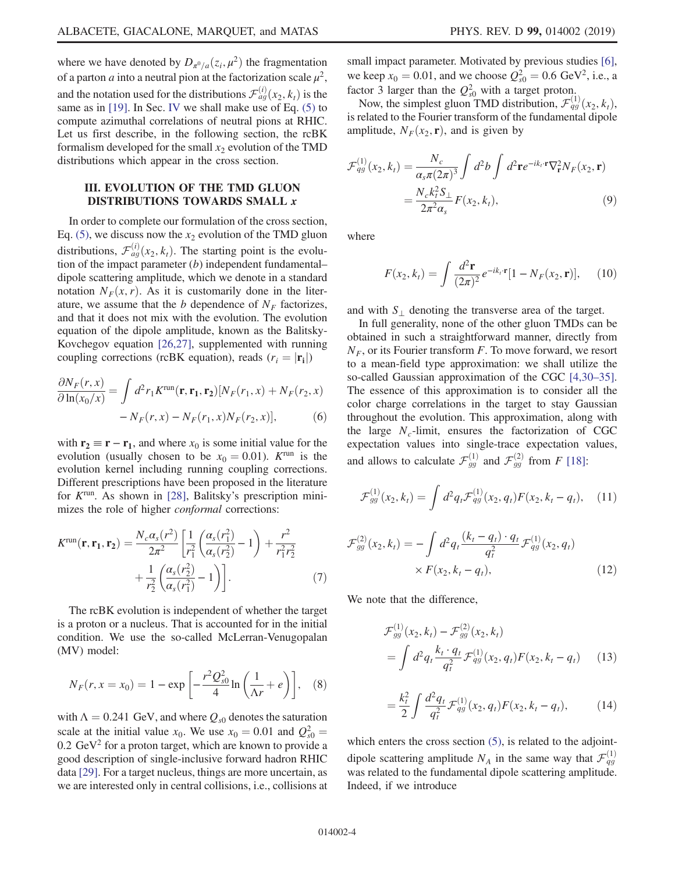where we have denoted by  $D_{\pi^0/a}(z_i, \mu^2)$  the fragmentation of a parton a into a neutral pion at the factorization scale  $\mu^2$ , and the notation used for the distributions  $\mathcal{F}_{ag}^{(i)}(x_2, k_t)$  is the same as in [19]. In Sec. IV we shall make use of Eq. (5) to same as in [\[19\].](#page-9-8) In Sec. [IV](#page-5-0) we shall make use of Eq. [\(5\)](#page-2-2) to compute azimuthal correlations of neutral pions at RHIC. Let us first describe, in the following section, the rcBK formalism developed for the small  $x_2$  evolution of the TMD distributions which appear in the cross section.

### <span id="page-3-0"></span>III. EVOLUTION OF THE TMD GLUON DISTRIBUTIONS TOWARDS SMALL x

In order to complete our formulation of the cross section, Eq. [\(5\),](#page-2-2) we discuss now the  $x_2$  evolution of the TMD gluon distributions,  $\mathcal{F}_{ag}^{(i)}(x_2, k_t)$ . The starting point is the evolution of the impact parameter (b) independent fundamental tion of the impact parameter  $(b)$  independent fundamentaldipole scattering amplitude, which we denote in a standard notation  $N_F(x, r)$ . As it is customarily done in the literature, we assume that the b dependence of  $N_F$  factorizes, and that it does not mix with the evolution. The evolution equation of the dipole amplitude, known as the Balitsky-Kovchegov equation [\[26,27\],](#page-9-16) supplemented with running coupling corrections (rcBK equation), reads  $(r_i = |\mathbf{r_i}|)$ 

$$
\frac{\partial N_F(r, x)}{\partial \ln(x_0/x)} = \int d^2 r_1 K^{\rm run}(\mathbf{r}, \mathbf{r}_1, \mathbf{r}_2) [N_F(r_1, x) + N_F(r_2, x) - N_F(r, x) - N_F(r_1, x) N_F(r_2, x)], \tag{6}
$$

with  $\mathbf{r}_2 \equiv \mathbf{r} - \mathbf{r}_1$ , and where  $x_0$  is some initial value for the evolution (usually chosen to be  $x_0 = 0.01$ ). K<sup>run</sup> is the evolution kernel including running coupling corrections. Different prescriptions have been proposed in the literature for  $K^{run}$ . As shown in [\[28\],](#page-9-17) Balitsky's prescription minimizes the role of higher conformal corrections:

$$
K^{\text{run}}(\mathbf{r}, \mathbf{r_1}, \mathbf{r_2}) = \frac{N_c \alpha_s(r^2)}{2\pi^2} \left[ \frac{1}{r_1^2} \left( \frac{\alpha_s(r_1^2)}{\alpha_s(r_2^2)} - 1 \right) + \frac{r^2}{r_1^2 r_2^2} + \frac{1}{r_2^2} \left( \frac{\alpha_s(r_2^2)}{\alpha_s(r_1^2)} - 1 \right) \right].
$$
 (7)

The rcBK evolution is independent of whether the target is a proton or a nucleus. That is accounted for in the initial condition. We use the so-called McLerran-Venugopalan (MV) model:

$$
N_F(r, x = x_0) = 1 - \exp\left[-\frac{r^2 Q_{s0}^2}{4} \ln\left(\frac{1}{\Lambda r} + e\right)\right], \quad (8)
$$

with  $\Lambda = 0.241$  GeV, and where  $Q_{s0}$  denotes the saturation scale at the initial value  $x_0$ . We use  $x_0 = 0.01$  and  $Q_{s0}^2 =$ scare at the find value  $x_0$ , we use  $x_0 = 0.01$  and  $y_{s0} = 0.2 \text{ GeV}^2$  for a proton target, which are known to provide a good description of single-inclusive forward hadron RHIC data [\[29\].](#page-9-18) For a target nucleus, things are more uncertain, as we are interested only in central collisions, i.e., collisions at small impact parameter. Motivated by previous studies [\[6\]](#page-9-5), we keep  $x_0 = 0.01$ , and we choose  $Q_{s0}^2 = 0.6 \text{ GeV}^2$ , i.e., a factor 3 larger than the  $Q_1^2$  with a target proton factor 3 larger than the  $Q_{s0}^2$  with a target proton.

<span id="page-3-1"></span>Now, the simplest gluon TMD distribution,  $\mathcal{F}_{qg}^{(1)}(x_2, k_t)$ , is related to the Fourier transform of the fundamental dipole amplitude,  $N_F(x_2, \mathbf{r})$ , and is given by

$$
\mathcal{F}_{qg}^{(1)}(x_2, k_t) = \frac{N_c}{\alpha_s \pi (2\pi)^3} \int d^2b \int d^2\mathbf{r} e^{-ik_t \cdot \mathbf{r}} \nabla_{\mathbf{r}}^2 N_F(x_2, \mathbf{r})
$$

$$
= \frac{N_c k_t^2 S_\perp}{2\pi^2 \alpha_s} F(x_2, k_t), \tag{9}
$$

where

$$
F(x_2, k_t) = \int \frac{d^2 \mathbf{r}}{(2\pi)^2} e^{-ik_t \cdot \mathbf{r}} [1 - N_F(x_2, \mathbf{r})], \quad (10)
$$

and with  $S_{\perp}$  denoting the transverse area of the target.

In full generality, none of the other gluon TMDs can be obtained in such a straightforward manner, directly from  $N_F$ , or its Fourier transform F. To move forward, we resort to a mean-field type approximation: we shall utilize the so-called Gaussian approximation of the CGC [\[4,30](#page-9-1)–35]. The essence of this approximation is to consider all the color charge correlations in the target to stay Gaussian throughout the evolution. This approximation, along with the large  $N_c$ -limit, ensures the factorization of CGC expectation values into single-trace expectation values, and allows to calculate  $\mathcal{F}_{gg}^{(1)}$  and  $\mathcal{F}_{gg}^{(2)}$  from F [\[18\]](#page-9-15):

$$
\mathcal{F}_{gg}^{(1)}(x_2, k_t) = \int d^2q_t \mathcal{F}_{qg}^{(1)}(x_2, q_t) F(x_2, k_t - q_t), \quad (11)
$$

$$
\mathcal{F}_{gg}^{(2)}(x_2, k_t) = -\int d^2 q_t \frac{(k_t - q_t) \cdot q_t}{q_t^2} \mathcal{F}_{qg}^{(1)}(x_2, q_t) \times F(x_2, k_t - q_t), \qquad (12)
$$

We note that the difference,

<span id="page-3-2"></span>
$$
\mathcal{F}_{gg}^{(1)}(x_2, k_t) - \mathcal{F}_{gg}^{(2)}(x_2, k_t) \n= \int d^2q_t \frac{k_t \cdot q_t}{q_t^2} \mathcal{F}_{gg}^{(1)}(x_2, q_t) F(x_2, k_t - q_t)
$$
\n(13)

$$
= \frac{k_t^2}{2} \int \frac{d^2 q_t}{q_t^2} \mathcal{F}_{qg}^{(1)}(x_2, q_t) F(x_2, k_t - q_t), \tag{14}
$$

which enters the cross section  $(5)$ , is related to the adjointdipole scattering amplitude  $N_A$  in the same way that  $\mathcal{F}_{qg}^{(1)}$ was related to the fundamental dipole scattering amplitude. Indeed, if we introduce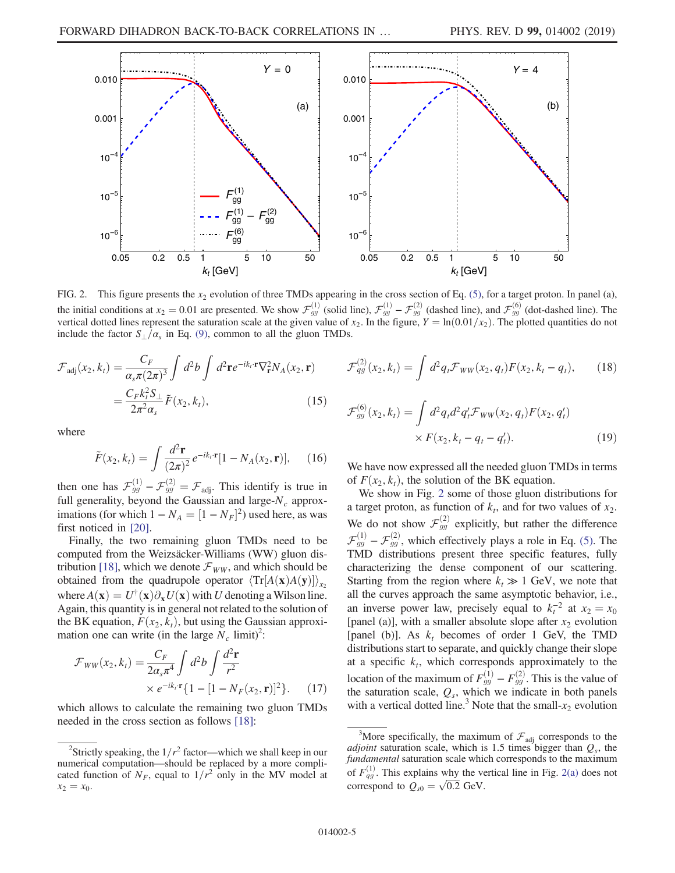<span id="page-4-0"></span>

FIG. 2. This figure presents the  $x_2$  evolution of three TMDs appearing in the cross section of Eq. [\(5\),](#page-2-2) for a target proton. In panel (a), the initial conditions at  $x_2 = 0.01$  are presented. We show  $\mathcal{F}_{gg}^{(1)}$  (solid line),  $\mathcal{F}_{gg}^{(1)} - \mathcal{F}_{gg}^{(2)}$  (dashed line), and  $\mathcal{F}_{gg}^{(6)}$  (dot-dashed line). The vertical dotted lines represent the saturation vertical dotted lines represent the saturation scale at the given value of  $x_2$ . In the figure,  $Y = \ln(0.01/x_2)$ . The plotted quantities do not include the factor  $S_{\perp}/\alpha_s$  in Eq. [\(9\)](#page-3-1), common to all the gluon TMDs.

$$
\mathcal{F}_{\text{adj}}(x_2, k_t) = \frac{C_F}{\alpha_s \pi (2\pi)^3} \int d^2b \int d^2\mathbf{r} e^{-ik_t \cdot \mathbf{r}} \nabla_{\mathbf{r}}^2 N_A(x_2, \mathbf{r})
$$

$$
= \frac{C_F k_t^2 S_\perp}{2\pi^2 \alpha_s} \tilde{F}(x_2, k_t), \tag{15}
$$

where

$$
\tilde{F}(x_2, k_t) = \int \frac{d^2 \mathbf{r}}{(2\pi)^2} e^{-ik_t \cdot \mathbf{r}} [1 - N_A(x_2, \mathbf{r})], \quad (16)
$$

then one has  $\mathcal{F}_{gg}^{(1)} - \mathcal{F}_{gg}^{(2)} = \mathcal{F}_{\text{adj}}$ . This identify is true in full generality beyond the Gaussian and large-N, approxfull generality, beyond the Gaussian and large- $N_c$  approximations (for which  $1 - N_A = [1 - N_F]$ <br>first noticed in [20]  $]^{2}$ ) used here, as was first noticed in [\[20\]](#page-9-19).

Finally, the two remaining gluon TMDs need to be computed from the Weizsäcker-Williams (WW) gluon dis-tribution [\[18\],](#page-9-15) which we denote  $\mathcal{F}_{WW}$ , and which should be obtained from the quadrupole operator  $\langle \text{Tr}[A(\mathbf{x})A(\mathbf{y})] \rangle_{\mathbf{x}_2}$ <br>where  $A(\mathbf{x}) = U^{\dagger}(\mathbf{x}) \partial_t U(\mathbf{x})$  with *U* denoting a Wilson line where  $A(\mathbf{x}) = U^{\dagger}(\mathbf{x})\partial_{\mathbf{x}}U(\mathbf{x})$  with U denoting a Wilson line. Again, this quantity is in general not related to the solution of the BK equation,  $F(x_2, k_t)$ , but using the Gaussian approximation one can write (in the large  $N_c$  limit)<sup>2</sup>:

$$
\mathcal{F}_{WW}(x_2, k_t) = \frac{C_F}{2\alpha_s \pi^4} \int d^2b \int \frac{d^2\mathbf{r}}{r^2} \times e^{-ik_t \cdot \mathbf{r}} \{1 - [1 - N_F(x_2, \mathbf{r})]^2\}.
$$
 (17)

which allows to calculate the remaining two gluon TMDs needed in the cross section as follows [\[18\]:](#page-9-15)

$$
\mathcal{F}_{qg}^{(2)}(x_2, k_t) = \int d^2q_t \mathcal{F}_{WW}(x_2, q_t) F(x_2, k_t - q_t), \qquad (18)
$$

$$
\mathcal{F}_{gg}^{(6)}(x_2, k_t) = \int d^2 q_t d^2 q'_t \mathcal{F}_{WW}(x_2, q_t) F(x_2, q'_t) \times F(x_2, k_t - q_t - q'_t). \tag{19}
$$

We have now expressed all the needed gluon TMDs in terms of  $F(x_2, k_t)$ , the solution of the BK equation.

We show in Fig. [2](#page-4-0) some of those gluon distributions for a target proton, as function of  $k_t$ , and for two values of  $x_2$ . We do not show  $\mathcal{F}_{gg}^{(2)}$  explicitly, but rather the difference  $\mathcal{F}_{gg}^{(1)} - \mathcal{F}_{gg}^{(2)}$ , which effectively plays a role in Eq. [\(5\).](#page-2-2) The TMD distributions present three specific features, fully characterizing the dense component of our scattering. Starting from the region where  $k_t \gg 1$  GeV, we note that all the curves approach the same asymptotic behavior, i.e., an inverse power law, precisely equal to  $k_1^{-2}$  at  $x_2 = x_0$ <br>[panel (a)] with a smaller absolute slope after x<sub>0</sub> evolution [panel (a)], with a smaller absolute slope after  $x_2$  evolution [panel (b)]. As  $k_t$  becomes of order 1 GeV, the TMD distributions start to separate, and quickly change their slope at a specific  $k_t$ , which corresponds approximately to the location of the maximum of  $F_{gg}^{(1)} - F_{gg}^{(2)}$ . This is the value of the saturation scale,  $Q_s$ , which we indicate in both panels with a vertical dotted line.<sup>3</sup> Note that the small- $x_2$  evolution

<sup>&</sup>lt;sup>2</sup>Strictly speaking, the  $1/r^2$  factor—which we shall keep in our numerical computation—should be replaced by a more complicated function of  $N_F$ , equal to  $1/r^2$  only in the MV model at  $x_2 = x_0.$ 

<sup>&</sup>lt;sup>3</sup>More specifically, the maximum of  $\mathcal{F}_{\text{adj}}$  corresponds to the *adjoint* saturation scale, which is 1.5 times bigger than  $Q_s$ , the fundamental saturation scale which corresponds to the maximum of  $F_{qg}^{(1)}$ . This explains why the vertical line in Fig. [2\(a\)](#page-4-0) does not correspond to  $Q_{s0} = \sqrt{0.2} \text{ GeV}.$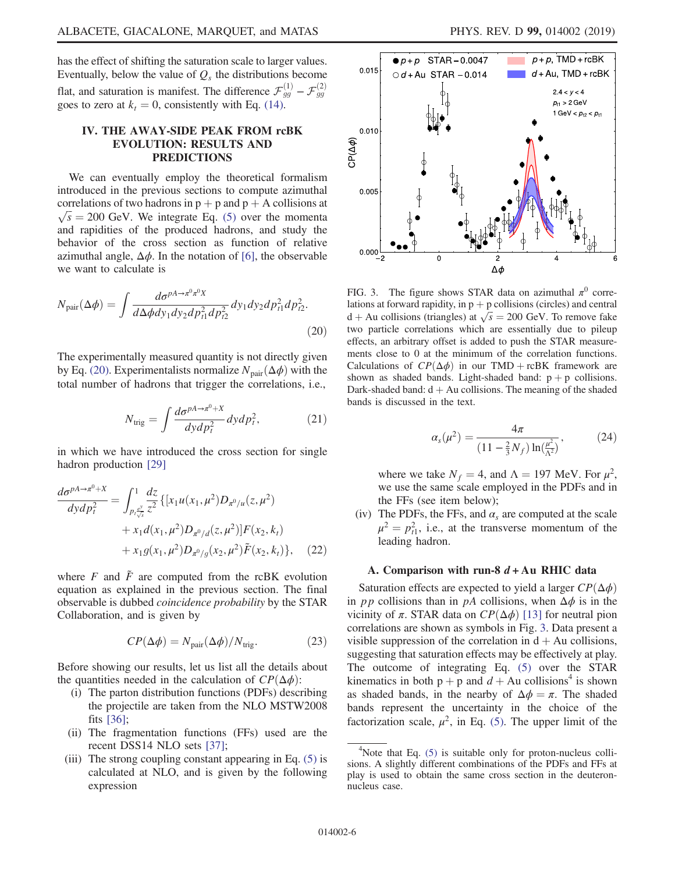has the effect of shifting the saturation scale to larger values. Eventually, below the value of  $Q<sub>s</sub>$  the distributions become flat, and saturation is manifest. The difference  $\mathcal{F}_{gg}^{(1)} - \mathcal{F}_{gg}^{(2)}$ goes to zero at  $k_t = 0$ , consistently with Eq. [\(14\).](#page-3-2)

### <span id="page-5-0"></span>IV. THE AWAY-SIDE PEAK FROM rcBK EVOLUTION: RESULTS AND PREDICTIONS

We can eventually employ the theoretical formalism introduced in the previous sections to compute azimuthal correlations of two hadrons in p + p and p + A collisions at  $\sqrt{s}$  = 200 GeV. We integrate Eq. [\(5\)](#page-2-2) over the momenta and rapidities of the produced hadrons and study the and rapidities of the produced hadrons, and study the behavior of the cross section as function of relative azimuthal angle,  $\Delta \phi$ . In the notation of [\[6\]](#page-9-5), the observable we want to calculate is

<span id="page-5-1"></span>
$$
N_{\text{pair}}(\Delta \phi) = \int \frac{d\sigma^{pA \to \pi^0 \pi^0 X}}{d\Delta \phi dy_1 dy_2 dp_{t1}^2 dp_{t2}^2} dy_1 dy_2 dp_{t1}^2 dp_{t2}^2.
$$
\n(20)

The experimentally measured quantity is not directly given by Eq. [\(20\).](#page-5-1) Experimentalists normalize  $N_{\text{pair}}(\Delta \phi)$  with the total number of hadrons that trigger the correlations, i.e.,

$$
N_{\rm trig} = \int \frac{d\sigma^{pA \to \pi^0 + X}}{dy dp_t^2} dy dp_t^2, \tag{21}
$$

in which we have introduced the cross section for single hadron production [\[29\]](#page-9-18)

$$
\frac{d\sigma^{pA \to \pi^0 + X}}{dy d p_t^2} = \int_{p_t \frac{e^y}{\sqrt{s}}}^{1} \frac{dz}{z^2} \{ [x_1 u(x_1, \mu^2) D_{\pi^0 / u}(z, \mu^2) + x_1 d(x_1, \mu^2) D_{\pi^0 / d}(z, \mu^2)] F(x_2, k_t) + x_1 g(x_1, \mu^2) D_{\pi^0 / g}(x_2, \mu^2) \tilde{F}(x_2, k_t) \}, \quad (22)
$$

where  $F$  and  $\tilde{F}$  are computed from the rcBK evolution equation as explained in the previous section. The final observable is dubbed coincidence probability by the STAR Collaboration, and is given by

$$
CP(\Delta \phi) = N_{\text{pair}}(\Delta \phi) / N_{\text{trig}}.\tag{23}
$$

Before showing our results, let us list all the details about the quantities needed in the calculation of  $CP(\Delta\phi)$ :

- (i) The parton distribution functions (PDFs) describing the projectile are taken from the NLO MSTW2008 fits [\[36\]](#page-10-0);
- (ii) The fragmentation functions (FFs) used are the recent DSS14 NLO sets [\[37\];](#page-10-1)
- (iii) The strong coupling constant appearing in Eq. [\(5\)](#page-2-2) is calculated at NLO, and is given by the following expression

<span id="page-5-2"></span>

FIG. 3. The figure shows STAR data on azimuthal  $\pi^0$  correlations at forward rapidity, in  $p + p$  collisions (circles) and central  $d + Au$  collisions (triangles) at  $\sqrt{s} = 200$  GeV. To remove fake two particle correlations which are essentially due to pileup effects, an arbitrary offset is added to push the STAR measurements close to 0 at the minimum of the correlation functions. Calculations of  $CP(\Delta\phi)$  in our TMD + rcBK framework are shown as shaded bands. Light-shaded band:  $p + p$  collisions. Dark-shaded band:  $d + Au$  collisions. The meaning of the shaded bands is discussed in the text.

$$
\alpha_s(\mu^2) = \frac{4\pi}{\left(11 - \frac{2}{3}N_f\right)\ln\left(\frac{\mu^2}{\Lambda^2}\right)},\tag{24}
$$

where we take  $N_f = 4$ , and  $\Lambda = 197$  MeV. For  $\mu^2$ , we use the same scale employed in the PDFs and in the FFs (see item below);

(iv) The PDFs, the FFs, and  $\alpha_s$  are computed at the scale  $\mu^2 = p_{t_1}^2$ , i.e., at the transverse momentum of the leading hadron leading hadron.

### A. Comparison with run-8  $d + Au$  RHIC data

Saturation effects are expected to yield a larger  $CP(\Delta \phi)$ in pp collisions than in pA collisions, when  $\Delta \phi$  is in the vicinity of  $\pi$ . STAR data on  $CP(\Delta\phi)$  [\[13\]](#page-9-3) for neutral pion correlations are shown as symbols in Fig. [3](#page-5-2). Data present a visible suppression of the correlation in  $d + Au$  collisions, suggesting that saturation effects may be effectively at play. The outcome of integrating Eq. [\(5\)](#page-2-2) over the STAR kinematics in both  $p + p$  and  $d + Au$  collisions<sup>4</sup> is shown as shaded bands, in the nearby of  $\Delta \phi = \pi$ . The shaded bands represent the uncertainty in the choice of the factorization scale,  $\mu^2$ , in Eq. [\(5\).](#page-2-2) The upper limit of the

<sup>&</sup>lt;sup>4</sup>Note that Eq. [\(5\)](#page-2-2) is suitable only for proton-nucleus collisions. A slightly different combinations of the PDFs and FFs at play is used to obtain the same cross section in the deuteronnucleus case.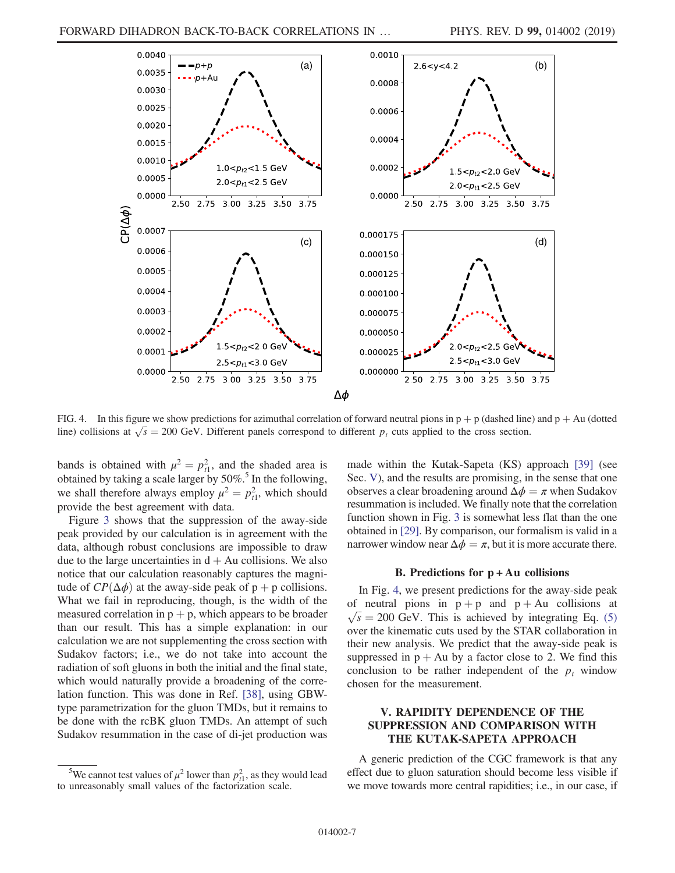<span id="page-6-1"></span>

FIG. 4. In this figure we show predictions for azimuthal correlation of forward neutral pions in  $p + p$  (dashed line) and  $p + Au$  (dotted line) collisions at  $\sqrt{s} = 200$  GeV. Different panels correspond to different  $p_t$  cuts applied to the cross section.

bands is obtained with  $\mu^2 = p_{t1}^2$ , and the shaded area is obtained by taking a scale larger by 50% <sup>5</sup> In the following obtained by taking a scale larger by  $50\%$ .<sup>5</sup> In the following, we shall therefore always employ  $\mu^2 = p_{i1}^2$ , which should<br>provide the best agreement with data provide the best agreement with data.

Figure [3](#page-5-2) shows that the suppression of the away-side peak provided by our calculation is in agreement with the data, although robust conclusions are impossible to draw due to the large uncertainties in  $d + Au$  collisions. We also notice that our calculation reasonably captures the magnitude of  $CP(\Delta \phi)$  at the away-side peak of p + p collisions. What we fail in reproducing, though, is the width of the measured correlation in  $p + p$ , which appears to be broader than our result. This has a simple explanation: in our calculation we are not supplementing the cross section with Sudakov factors; i.e., we do not take into account the radiation of soft gluons in both the initial and the final state, which would naturally provide a broadening of the correlation function. This was done in Ref. [\[38\]](#page-10-2), using GBWtype parametrization for the gluon TMDs, but it remains to be done with the rcBK gluon TMDs. An attempt of such Sudakov resummation in the case of di-jet production was made within the Kutak-Sapeta (KS) approach [\[39\]](#page-10-3) (see Sec. [V\)](#page-6-0), and the results are promising, in the sense that one observes a clear broadening around  $\Delta \phi = \pi$  when Sudakov resummation is included. We finally note that the correlation function shown in Fig. [3](#page-5-2) is somewhat less flat than the one obtained in [\[29\]](#page-9-18). By comparison, our formalism is valid in a narrower window near  $\Delta \phi = \pi$ , but it is more accurate there.

#### B. Predictions for  $p + Au$  collisions

In Fig. [4,](#page-6-1) we present predictions for the away-side peak of neutral pions in  $p + p$  and  $p + Au$  collisions at  $\sqrt{s} = 200$  GeV. This is achieved by integrating Eq. [\(5\)](#page-2-2) over the kinematic cuts used by the STAR collaboration in over the kinematic cuts used by the STAR collaboration in their new analysis. We predict that the away-side peak is suppressed in  $p + Au$  by a factor close to 2. We find this conclusion to be rather independent of the  $p_t$  window chosen for the measurement.

### <span id="page-6-0"></span>V. RAPIDITY DEPENDENCE OF THE SUPPRESSION AND COMPARISON WITH THE KUTAK-SAPETA APPROACH

A generic prediction of the CGC framework is that any effect due to gluon saturation should become less visible if we move towards more central rapidities; i.e., in our case, if

<sup>&</sup>lt;sup>5</sup>We cannot test values of  $\mu^2$  lower than  $p_{t1}^2$ , as they would lead to unreasonably small values of the factorization scale.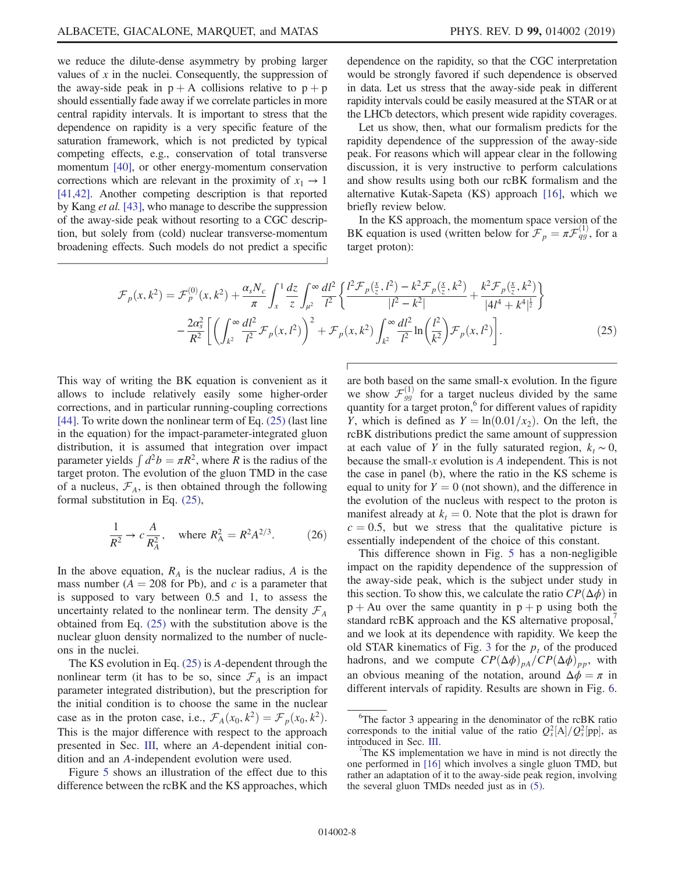we reduce the dilute-dense asymmetry by probing larger values of  $x$  in the nuclei. Consequently, the suppression of the away-side peak in  $p + A$  collisions relative to  $p + p$ should essentially fade away if we correlate particles in more central rapidity intervals. It is important to stress that the dependence on rapidity is a very specific feature of the saturation framework, which is not predicted by typical competing effects, e.g., conservation of total transverse momentum [\[40\],](#page-10-4) or other energy-momentum conservation corrections which are relevant in the proximity of  $x_1 \rightarrow 1$ [\[41,42\].](#page-10-5) Another competing description is that reported by Kang et al. [\[43\],](#page-10-6) who manage to describe the suppression of the away-side peak without resorting to a CGC description, but solely from (cold) nuclear transverse-momentum broadening effects. Such models do not predict a specific dependence on the rapidity, so that the CGC interpretation would be strongly favored if such dependence is observed in data. Let us stress that the away-side peak in different rapidity intervals could be easily measured at the STAR or at the LHCb detectors, which present wide rapidity coverages.

Let us show, then, what our formalism predicts for the rapidity dependence of the suppression of the away-side peak. For reasons which will appear clear in the following discussion, it is very instructive to perform calculations and show results using both our rcBK formalism and the alternative Kutak-Sapeta (KS) approach [\[16\],](#page-9-20) which we briefly review below.

In the KS approach, the momentum space version of the BK equation is used (written below for  $\mathcal{F}_p = \pi \mathcal{F}_{qg}^{(1)}$ , for a target proton): target proton):

<span id="page-7-0"></span>
$$
\mathcal{F}_{p}(x,k^{2}) = \mathcal{F}_{p}^{(0)}(x,k^{2}) + \frac{\alpha_{s}N_{c}}{\pi} \int_{x}^{1} \frac{dz}{z} \int_{\mu^{2}}^{\infty} \frac{dl^{2}}{l^{2}} \left\{ \frac{l^{2}\mathcal{F}_{p}(\frac{x}{z},l^{2}) - k^{2}\mathcal{F}_{p}(\frac{x}{z},k^{2})}{|l^{2} - k^{2}|} + \frac{k^{2}\mathcal{F}_{p}(\frac{x}{z},k^{2})}{|4l^{4} + k^{4}|^{\frac{1}{2}}} \right\} - \frac{2\alpha_{s}^{2}}{R^{2}} \left[ \left( \int_{k^{2}}^{\infty} \frac{dl^{2}}{l^{2}} \mathcal{F}_{p}(x,l^{2}) \right)^{2} + \mathcal{F}_{p}(x,k^{2}) \int_{k^{2}}^{\infty} \frac{dl^{2}}{l^{2}} \ln\left(\frac{l^{2}}{k^{2}}\right) \mathcal{F}_{p}(x,l^{2}) \right].
$$
\n(25)

This way of writing the BK equation is convenient as it allows to include relatively easily some higher-order corrections, and in particular running-coupling corrections [\[44\]](#page-10-7). To write down the nonlinear term of Eq.  $(25)$  (last line in the equation) for the impact-parameter-integrated gluon distribution, it is assumed that integration over impact parameter yields  $\int d^2b = \pi R^2$ , where R is the radius of the target proton. The evolution of the gluon TMD in the case target proton. The evolution of the gluon TMD in the case of a nucleus,  $\mathcal{F}_A$ , is then obtained through the following formal substitution in Eq. [\(25\)](#page-7-0),

$$
\frac{1}{R^2} \to c \frac{A}{R_A^2}, \quad \text{where } R_A^2 = R^2 A^{2/3}.
$$
 (26)

In the above equation,  $R_A$  is the nuclear radius, A is the mass number ( $A = 208$  for Pb), and c is a parameter that is supposed to vary between 0.5 and 1, to assess the uncertainty related to the nonlinear term. The density  $\mathcal{F}_A$ obtained from Eq. [\(25\)](#page-7-0) with the substitution above is the nuclear gluon density normalized to the number of nucleons in the nuclei.

The KS evolution in Eq. [\(25\)](#page-7-0) is A-dependent through the nonlinear term (it has to be so, since  $\mathcal{F}_A$  is an impact parameter integrated distribution), but the prescription for the initial condition is to choose the same in the nuclear case as in the proton case, i.e.,  $\mathcal{F}_A(x_0, k^2) = \mathcal{F}_p(x_0, k^2)$ . This is the major difference with respect to the approach presented in Sec. [III](#page-3-0), where an A-dependent initial condition and an A-independent evolution were used.

Figure [5](#page-8-0) shows an illustration of the effect due to this difference between the rcBK and the KS approaches, which are both based on the same small-x evolution. In the figure we show  $\mathcal{F}_{gg}^{(1)}$  for a target nucleus divided by the same quantity for a target proton,<sup>6</sup> for different values of rapidity Y, which is defined as  $Y = \ln(0.01/x_2)$ . On the left, the rcBK distributions predict the same amount of suppression at each value of Y in the fully saturated region,  $k_t \sim 0$ , because the small- $x$  evolution is  $A$  independent. This is not the case in panel (b), where the ratio in the KS scheme is equal to unity for  $Y = 0$  (not shown), and the difference in the evolution of the nucleus with respect to the proton is manifest already at  $k_t = 0$ . Note that the plot is drawn for  $c = 0.5$ , but we stress that the qualitative picture is essentially independent of the choice of this constant.

This difference shown in Fig. [5](#page-8-0) has a non-negligible impact on the rapidity dependence of the suppression of the away-side peak, which is the subject under study in this section. To show this, we calculate the ratio  $CP(\Delta \phi)$  in  $p + Au$  over the same quantity in  $p + p$  using both the standard rcBK approach and the KS alternative proposal, and we look at its dependence with rapidity. We keep the old STAR kinematics of Fig. [3](#page-5-2) for the  $p_t$  of the produced hadrons, and we compute  $CP(\Delta\phi)_{pA}/CP(\Delta\phi)_{pp}$ , with an obvious meaning of the notation, around  $\Delta \phi = \pi$  in different intervals of rapidity. Results are shown in Fig. [6](#page-8-1).

<sup>&</sup>lt;sup>6</sup>The factor 3 appearing in the denominator of the rcBK ratio corresponds to the initial value of the ratio  $Q_s^2[A]/Q_s^2[pp]$ , as introduced in Sec. III. introduced in Sec. [III.](#page-3-0)

The KS implementation we have in mind is not directly the one performed in [\[16\]](#page-9-20) which involves a single gluon TMD, but rather an adaptation of it to the away-side peak region, involving the several gluon TMDs needed just as in [\(5\)](#page-2-2).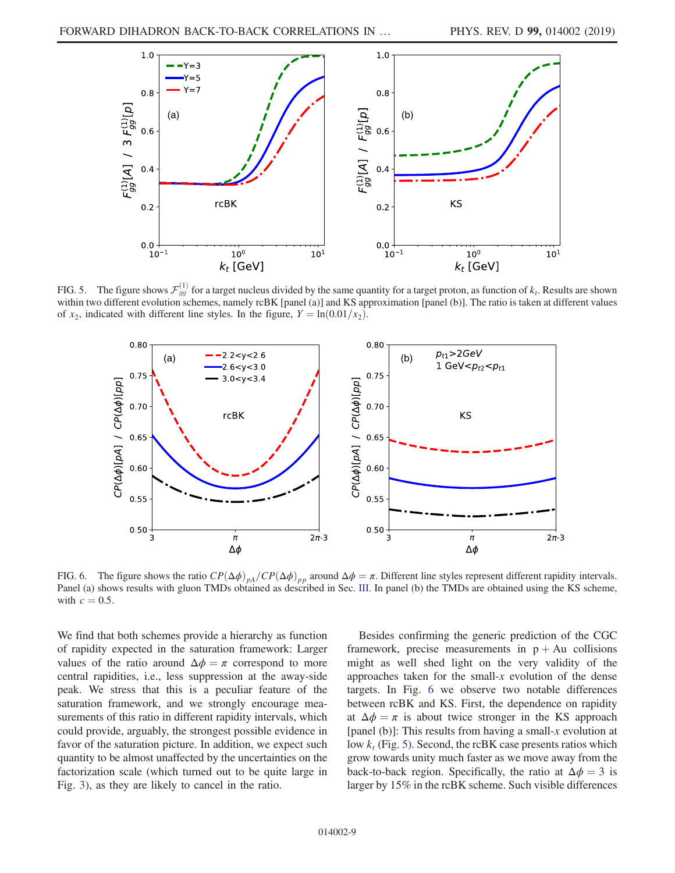<span id="page-8-0"></span>

FIG. 5. The figure shows  $\mathcal{F}_{gg}^{(1)}$  for a target nucleus divided by the same quantity for a target proton, as function of  $k_t$ . Results are shown within two different evolution schemes, namely rcBK [panel (a)] and KS approximation [panel (b)]. The ratio is taken at different values of  $x_2$ , indicated with different line styles. In the figure,  $Y = \ln(0.01/x_2)$ .

<span id="page-8-1"></span>

FIG. 6. The figure shows the ratio  $CP(\Delta\phi)_{pA}/CP(\Delta\phi)_{pp}$  around  $\Delta\phi=\pi$ . Different line styles represent different rapidity intervals. Panel (a) shows results with gluon TMDs obtained as described in Sec. [III.](#page-3-0) In panel (b) the TMDs are obtained using the KS scheme, with  $c = 0.5$ .

We find that both schemes provide a hierarchy as function of rapidity expected in the saturation framework: Larger values of the ratio around  $\Delta \phi = \pi$  correspond to more central rapidities, i.e., less suppression at the away-side peak. We stress that this is a peculiar feature of the saturation framework, and we strongly encourage measurements of this ratio in different rapidity intervals, which could provide, arguably, the strongest possible evidence in favor of the saturation picture. In addition, we expect such quantity to be almost unaffected by the uncertainties on the factorization scale (which turned out to be quite large in Fig. [3](#page-5-2)), as they are likely to cancel in the ratio.

Besides confirming the generic prediction of the CGC framework, precise measurements in  $p + Au$  collisions might as well shed light on the very validity of the approaches taken for the small- $x$  evolution of the dense targets. In Fig. [6](#page-8-1) we observe two notable differences between rcBK and KS. First, the dependence on rapidity at  $\Delta \phi = \pi$  is about twice stronger in the KS approach [panel (b)]: This results from having a small-x evolution at low  $k_t$  (Fig. [5](#page-8-0)). Second, the rcBK case presents ratios which grow towards unity much faster as we move away from the back-to-back region. Specifically, the ratio at  $\Delta \phi = 3$  is larger by 15% in the rcBK scheme. Such visible differences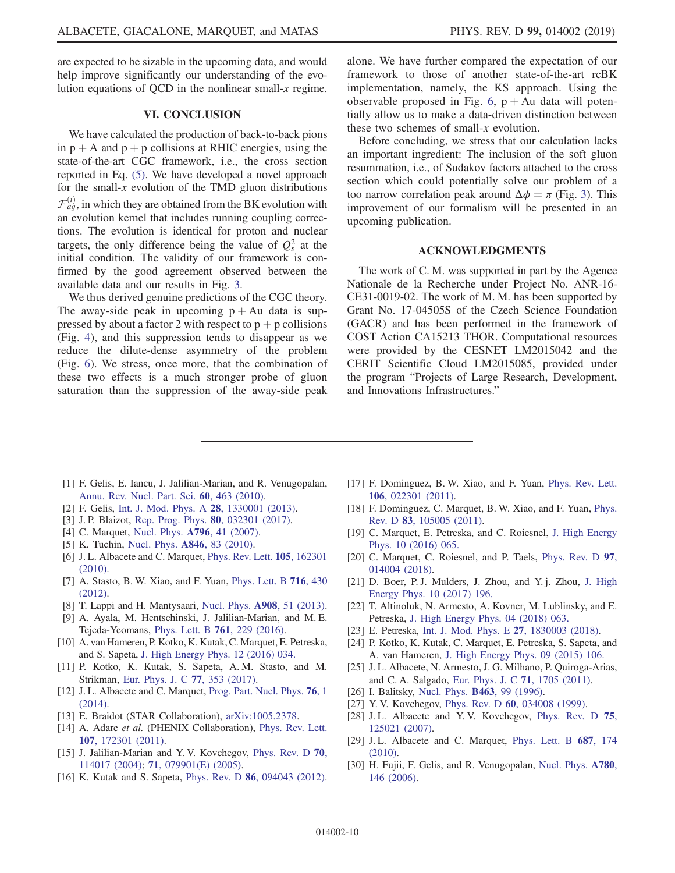are expected to be sizable in the upcoming data, and would help improve significantly our understanding of the evolution equations of OCD in the nonlinear small- $x$  regime.

### VI. CONCLUSION

<span id="page-9-12"></span>We have calculated the production of back-to-back pions in  $p + A$  and  $p + p$  collisions at RHIC energies, using the state-of-the-art CGC framework, i.e., the cross section reported in Eq. [\(5\).](#page-2-2) We have developed a novel approach for the small- $x$  evolution of the TMD gluon distributions  $\mathcal{F}_{ag}^{(i)}$ , in which they are obtained from the BK evolution with an evolution kernel that includes running coupling corrections. The evolution is identical for proton and nuclear targets, the only difference being the value of  $Q_s^2$  at the initial condition. The validity of our framework is confirmed by the good agreement observed between the available data and our results in Fig. [3.](#page-5-2)

We thus derived genuine predictions of the CGC theory. The away-side peak in upcoming  $p + Au$  data is suppressed by about a factor 2 with respect to  $p + p$  collisions (Fig. [4](#page-6-1)), and this suppression tends to disappear as we reduce the dilute-dense asymmetry of the problem (Fig. [6\)](#page-8-1). We stress, once more, that the combination of these two effects is a much stronger probe of gluon saturation than the suppression of the away-side peak alone. We have further compared the expectation of our framework to those of another state-of-the-art rcBK implementation, namely, the KS approach. Using the observable proposed in Fig. [6,](#page-8-1)  $p + Au$  data will potentially allow us to make a data-driven distinction between these two schemes of small-x evolution.

Before concluding, we stress that our calculation lacks an important ingredient: The inclusion of the soft gluon resummation, i.e., of Sudakov factors attached to the cross section which could potentially solve our problem of a too narrow correlation peak around  $\Delta \phi = \pi$  (Fig. [3](#page-5-2)). This improvement of our formalism will be presented in an upcoming publication.

## ACKNOWLEDGMENTS

The work of C. M. was supported in part by the Agence Nationale de la Recherche under Project No. ANR-16- CE31-0019-02. The work of M. M. has been supported by Grant No. 17-04505S of the Czech Science Foundation (GACR) and has been performed in the framework of COST Action CA15213 THOR. Computational resources were provided by the CESNET LM2015042 and the CERIT Scientific Cloud LM2015085, provided under the program "Projects of Large Research, Development, and Innovations Infrastructures."

- <span id="page-9-0"></span>[1] F. Gelis, E. Iancu, J. Jalilian-Marian, and R. Venugopalan, [Annu. Rev. Nucl. Part. Sci.](https://doi.org/10.1146/annurev.nucl.010909.083629) 60, 463 (2010).
- [2] F. Gelis, [Int. J. Mod. Phys. A](https://doi.org/10.1142/S0217751X13300019) 28, 1330001 (2013).
- [3] J. P. Blaizot, [Rep. Prog. Phys.](https://doi.org/10.1088/1361-6633/aa5435) **80**, 032301 (2017).
- <span id="page-9-1"></span>[4] C. Marquet, [Nucl. Phys.](https://doi.org/10.1016/j.nuclphysa.2007.09.001) A796, 41 (2007).
- <span id="page-9-4"></span>[5] K. Tuchin, [Nucl. Phys.](https://doi.org/10.1016/j.nuclphysa.2010.06.001) **A846**, 83 (2010).
- <span id="page-9-5"></span>[6] J. L. Albacete and C. Marquet, [Phys. Rev. Lett.](https://doi.org/10.1103/PhysRevLett.105.162301) 105, 162301 [\(2010\).](https://doi.org/10.1103/PhysRevLett.105.162301)
- <span id="page-9-9"></span>[7] A. Stasto, B. W. Xiao, and F. Yuan, [Phys. Lett. B](https://doi.org/10.1016/j.physletb.2012.08.044) 716, 430 [\(2012\).](https://doi.org/10.1016/j.physletb.2012.08.044)
- <span id="page-9-6"></span>[8] T. Lappi and H. Mantysaari, [Nucl. Phys.](https://doi.org/10.1016/j.nuclphysa.2013.03.017) A908, 51 (2013).
- [9] A. Ayala, M. Hentschinski, J. Jalilian-Marian, and M. E. Tejeda-Yeomans, [Phys. Lett. B](https://doi.org/10.1016/j.physletb.2016.08.035) 761, 229 (2016).
- <span id="page-9-14"></span>[10] A. van Hameren, P. Kotko, K. Kutak, C. Marquet, E. Petreska, and S. Sapeta, [J. High Energy Phys. 12 \(2016\) 034.](https://doi.org/10.1007/JHEP12(2016)034)
- [11] P. Kotko, K. Kutak, S. Sapeta, A. M. Stasto, and M. Strikman, [Eur. Phys. J. C](https://doi.org/10.1140/epjc/s10052-017-4906-6) 77, 353 (2017).
- <span id="page-9-2"></span>[12] J. L. Albacete and C. Marquet, [Prog. Part. Nucl. Phys.](https://doi.org/10.1016/j.ppnp.2014.01.004) 76, 1 [\(2014\).](https://doi.org/10.1016/j.ppnp.2014.01.004)
- <span id="page-9-3"></span>[13] E. Braidot (STAR Collaboration), [arXiv:1005.2378](http://arXiv.org/abs/1005.2378).
- [14] A. Adare et al. (PHENIX Collaboration), [Phys. Rev. Lett.](https://doi.org/10.1103/PhysRevLett.107.172301) 107[, 172301 \(2011\).](https://doi.org/10.1103/PhysRevLett.107.172301)
- [15] J. Jalilian-Marian and Y.V. Kovchegov, [Phys. Rev. D](https://doi.org/10.1103/PhysRevD.70.114017) 70, [114017 \(2004\);](https://doi.org/10.1103/PhysRevD.70.114017) 71[, 079901\(E\) \(2005\).](https://doi.org/10.1103/PhysRevD.71.079901)
- <span id="page-9-20"></span>[16] K. Kutak and S. Sapeta, Phys. Rev. D 86[, 094043 \(2012\).](https://doi.org/10.1103/PhysRevD.86.094043)
- <span id="page-9-7"></span>[17] F. Dominguez, B. W. Xiao, and F. Yuan, [Phys. Rev. Lett.](https://doi.org/10.1103/PhysRevLett.106.022301) 106[, 022301 \(2011\).](https://doi.org/10.1103/PhysRevLett.106.022301)
- <span id="page-9-15"></span>[18] F. Dominguez, C. Marquet, B. W. Xiao, and F. Yuan, [Phys.](https://doi.org/10.1103/PhysRevD.83.105005) Rev. D 83[, 105005 \(2011\)](https://doi.org/10.1103/PhysRevD.83.105005).
- <span id="page-9-8"></span>[19] C. Marquet, E. Petreska, and C. Roiesnel, [J. High Energy](https://doi.org/10.1007/JHEP10(2016)065) [Phys. 10 \(2016\) 065.](https://doi.org/10.1007/JHEP10(2016)065)
- <span id="page-9-19"></span>[20] C. Marquet, C. Roiesnel, and P. Taels, [Phys. Rev. D](https://doi.org/10.1103/PhysRevD.97.014004) 97, [014004 \(2018\).](https://doi.org/10.1103/PhysRevD.97.014004)
- [21] D. Boer, P. J. Mulders, J. Zhou, and Y. j. Zhou, [J. High](https://doi.org/10.1007/JHEP10(2017)196) [Energy Phys. 10 \(2017\) 196.](https://doi.org/10.1007/JHEP10(2017)196)
- [22] T. Altinoluk, N. Armesto, A. Kovner, M. Lublinsky, and E. Petreska, [J. High Energy Phys. 04 \(2018\) 063.](https://doi.org/10.1007/JHEP04(2018)063)
- <span id="page-9-13"></span><span id="page-9-10"></span>[23] E. Petreska, [Int. J. Mod. Phys. E](https://doi.org/10.1142/S0218301318300035) 27, 1830003 (2018).
- [24] P. Kotko, K. Kutak, C. Marquet, E. Petreska, S. Sapeta, and A. van Hameren, [J. High Energy Phys. 09 \(2015\) 106.](https://doi.org/10.1007/JHEP09(2015)106)
- <span id="page-9-11"></span>[25] J. L. Albacete, N. Armesto, J. G. Milhano, P. Quiroga-Arias, and C. A. Salgado, [Eur. Phys. J. C](https://doi.org/10.1140/epjc/s10052-011-1705-3) 71, 1705 (2011).
- <span id="page-9-16"></span>[26] I. Balitsky, [Nucl. Phys.](https://doi.org/10.1016/0550-3213(95)00638-9) **B463**, 99 (1996).
- <span id="page-9-17"></span>[27] Y.V. Kovchegov, Phys. Rev. D 60[, 034008 \(1999\).](https://doi.org/10.1103/PhysRevD.60.034008)
- [28] J.L. Albacete and Y.V. Kovchegov, [Phys. Rev. D](https://doi.org/10.1103/PhysRevD.75.125021) 75, [125021 \(2007\).](https://doi.org/10.1103/PhysRevD.75.125021)
- <span id="page-9-18"></span>[29] J.L. Albacete and C. Marquet, [Phys. Lett. B](https://doi.org/10.1016/j.physletb.2010.02.073) 687, 174 [\(2010\).](https://doi.org/10.1016/j.physletb.2010.02.073)
- [30] H. Fujii, F. Gelis, and R. Venugopalan, [Nucl. Phys.](https://doi.org/10.1016/j.nuclphysa.2006.09.012) A780, [146 \(2006\)](https://doi.org/10.1016/j.nuclphysa.2006.09.012).